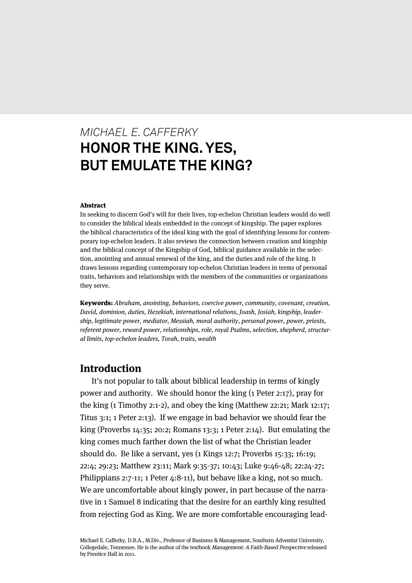# *MICHAEL E. CAFFERKY* **HONOR THE KING. YES, BUT EMULATE THE KING?**

#### Abstract

In seeking to discern God's will for their lives, top-echelon Christian leaders would do well to consider the biblical ideals embedded in the concept of kingship. The paper explores the biblical characteristics of the ideal king with the goal of identifying lessons for contemporary top-echelon leaders. It also reviews the connection between creation and kingship and the biblical concept of the Kingship of God, biblical guidance available in the selection, anointing and annual renewal of the king, and the duties and role of the king. It draws lessons regarding contemporary top-echelon Christian leaders in terms of personal traits, behaviors and relationships with the members of the communities or organizations they serve.

Keywords: Abraham, anointing, behaviors, coercive power, community, covenant, creation, David, dominion, duties, Hezekiah, international relations, Joash, Josiah, kingship, leadership, legitimate power, mediator, Messiah, moral authority, personal power, power, priests, referent power, reward power, relationships, role, royal Psalms, selection, shepherd, structural limits, top-echelon leaders, Torah, traits, wealth

## **Introduction**

It's not popular to talk about biblical leadership in terms of kingly power and authority. We should honor the king (1 Peter 2:17), pray for the king (1 Timothy 2:1-2), and obey the king (Matthew 22:21; Mark 12:17; Titus 3:1; 1 Peter 2:13). If we engage in bad behavior we should fear the king (Proverbs 14:35; 20:2; Romans 13:3; 1 Peter 2:14). But emulating the king comes much farther down the list of what the Christian leader should do. Be like a servant, yes (1 Kings 12:7; Proverbs 15:33; 16:19; 22:4; 29:23; Matthew 23:11; Mark 9:35-37; 10:43; Luke 9:46-48; 22:24-27; Philippians 2:7-11; 1 Peter 4:8-11), but behave like a king, not so much. We are uncomfortable about kingly power, in part because of the narrative in 1 Samuel 8 indicating that the desire for an earthly king resulted from rejecting God as King. We are more comfortable encouraging lead-

Michael E. Cafferky, D.B.A., M.Div., Professor of Business & Management, Southern Adventist University, Collegedale, Tennessee. He is the author of the textbook Management: A Faith-Based Perspective released by Prentice Hall in 2011.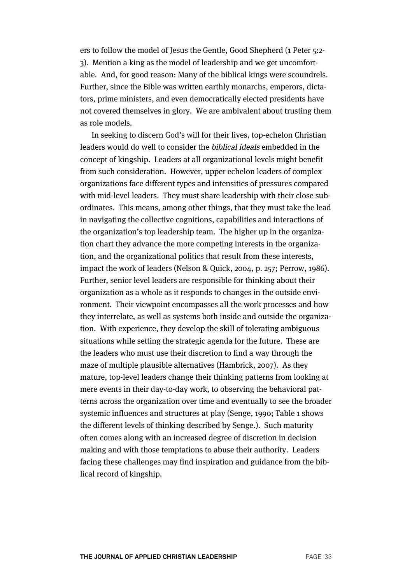ers to follow the model of Jesus the Gentle, Good Shepherd (1 Peter 5:2- 3). Mention a king as the model of leadership and we get uncomfortable. And, for good reason: Many of the biblical kings were scoundrels. Further, since the Bible was written earthly monarchs, emperors, dictators, prime ministers, and even democratically elected presidents have not covered themselves in glory. We are ambivalent about trusting them as role models.

In seeking to discern God's will for their lives, top-echelon Christian leaders would do well to consider the biblical ideals embedded in the concept of kingship. Leaders at all organizational levels might benefit from such consideration. However, upper echelon leaders of complex organizations face different types and intensities of pressures compared with mid-level leaders. They must share leadership with their close subordinates. This means, among other things, that they must take the lead in navigating the collective cognitions, capabilities and interactions of the organization's top leadership team. The higher up in the organization chart they advance the more competing interests in the organization, and the organizational politics that result from these interests, impact the work of leaders (Nelson & Quick, 2004, p. 257; Perrow, 1986). Further, senior level leaders are responsible for thinking about their organization as a whole as it responds to changes in the outside environment. Their viewpoint encompasses all the work processes and how they interrelate, as well as systems both inside and outside the organization. With experience, they develop the skill of tolerating ambiguous situations while setting the strategic agenda for the future. These are the leaders who must use their discretion to find a way through the maze of multiple plausible alternatives (Hambrick, 2007). As they mature, top-level leaders change their thinking patterns from looking at mere events in their day-to-day work, to observing the behavioral patterns across the organization over time and eventually to see the broader systemic influences and structures at play (Senge, 1990; Table 1 shows the different levels of thinking described by Senge.). Such maturity often comes along with an increased degree of discretion in decision making and with those temptations to abuse their authority. Leaders facing these challenges may find inspiration and guidance from the biblical record of kingship.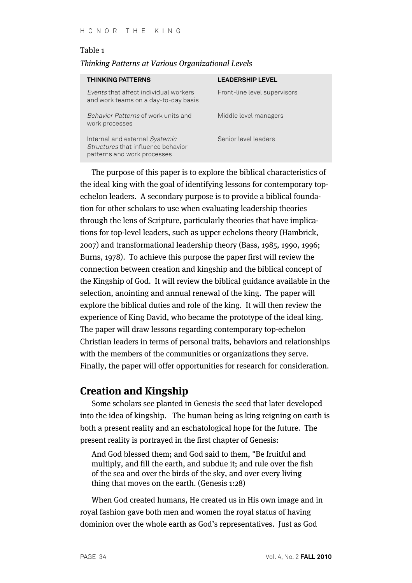#### Table 1

#### Thinking Patterns at Various Organizational Levels

| <b>THINKING PATTERNS</b>                                                                            | <b>LEADERSHIP LEVEL</b>      |
|-----------------------------------------------------------------------------------------------------|------------------------------|
| Events that affect individual workers<br>and work teams on a day-to-day basis                       | Front-line level supervisors |
| Behavior Patterns of work units and<br>work processes                                               | Middle level managers        |
| Internal and external Systemic<br>Structures that influence behavior<br>patterns and work processes | Senior level leaders         |

The purpose of this paper is to explore the biblical characteristics of the ideal king with the goal of identifying lessons for contemporary topechelon leaders. A secondary purpose is to provide a biblical foundation for other scholars to use when evaluating leadership theories through the lens of Scripture, particularly theories that have implications for top-level leaders, such as upper echelons theory (Hambrick, 2007) and transformational leadership theory (Bass, 1985, 1990, 1996; Burns, 1978). To achieve this purpose the paper first will review the connection between creation and kingship and the biblical concept of the Kingship of God. It will review the biblical guidance available in the selection, anointing and annual renewal of the king. The paper will explore the biblical duties and role of the king. It will then review the experience of King David, who became the prototype of the ideal king. The paper will draw lessons regarding contemporary top-echelon Christian leaders in terms of personal traits, behaviors and relationships with the members of the communities or organizations they serve. Finally, the paper will offer opportunities for research for consideration.

## **Creation and Kingship**

Some scholars see planted in Genesis the seed that later developed into the idea of kingship. The human being as king reigning on earth is both a present reality and an eschatological hope for the future. The present reality is portrayed in the first chapter of Genesis:

And God blessed them; and God said to them, "Be fruitful and multiply, and fill the earth, and subdue it; and rule over the fish of the sea and over the birds of the sky, and over every living thing that moves on the earth. (Genesis 1:28)

When God created humans, He created us in His own image and in royal fashion gave both men and women the royal status of having dominion over the whole earth as God's representatives. Just as God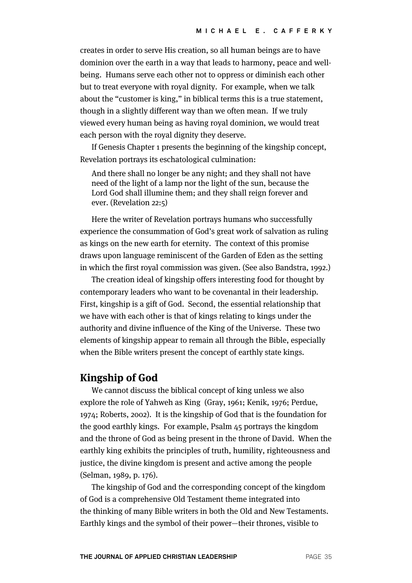creates in order to serve His creation, so all human beings are to have dominion over the earth in a way that leads to harmony, peace and wellbeing. Humans serve each other not to oppress or diminish each other but to treat everyone with royal dignity. For example, when we talk about the "customer is king," in biblical terms this is a true statement, though in a slightly different way than we often mean. If we truly viewed every human being as having royal dominion, we would treat each person with the royal dignity they deserve.

If Genesis Chapter 1 presents the beginning of the kingship concept, Revelation portrays its eschatological culmination:

And there shall no longer be any night; and they shall not have need of the light of a lamp nor the light of the sun, because the Lord God shall illumine them; and they shall reign forever and ever. (Revelation 22:5)

Here the writer of Revelation portrays humans who successfully experience the consummation of God's great work of salvation as ruling as kings on the new earth for eternity. The context of this promise draws upon language reminiscent of the Garden of Eden as the setting in which the first royal commission was given. (See also Bandstra, 1992.)

The creation ideal of kingship offers interesting food for thought by contemporary leaders who want to be covenantal in their leadership. First, kingship is a gift of God. Second, the essential relationship that we have with each other is that of kings relating to kings under the authority and divine influence of the King of the Universe. These two elements of kingship appear to remain all through the Bible, especially when the Bible writers present the concept of earthly state kings.

# **Kingship of God**

We cannot discuss the biblical concept of king unless we also explore the role of Yahweh as King (Gray, 1961; Kenik, 1976; Perdue, 1974; Roberts, 2002). It is the kingship of God that is the foundation for the good earthly kings. For example, Psalm 45 portrays the kingdom and the throne of God as being present in the throne of David. When the earthly king exhibits the principles of truth, humility, righteousness and justice, the divine kingdom is present and active among the people (Selman, 1989, p. 176).

The kingship of God and the corresponding concept of the kingdom of God is a comprehensive Old Testament theme integrated into the thinking of many Bible writers in both the Old and New Testaments. Earthly kings and the symbol of their power—their thrones, visible to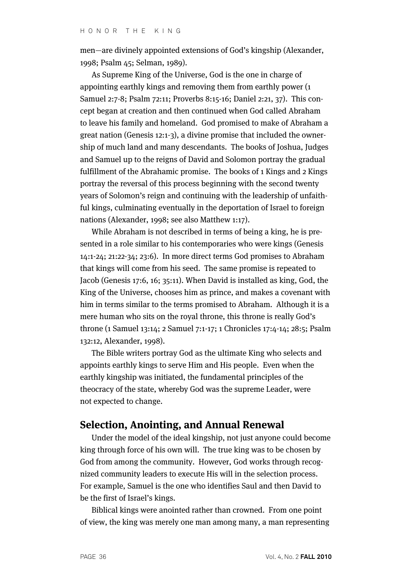men—are divinely appointed extensions of God's kingship (Alexander, 1998; Psalm 45; Selman, 1989).

As Supreme King of the Universe, God is the one in charge of appointing earthly kings and removing them from earthly power (1 Samuel 2:7-8; Psalm 72:11; Proverbs 8:15-16; Daniel 2:21, 37). This concept began at creation and then continued when God called Abraham to leave his family and homeland. God promised to make of Abraham a great nation (Genesis 12:1-3), a divine promise that included the ownership of much land and many descendants. The books of Joshua, Judges and Samuel up to the reigns of David and Solomon portray the gradual fulfillment of the Abrahamic promise. The books of 1 Kings and 2 Kings portray the reversal of this process beginning with the second twenty years of Solomon's reign and continuing with the leadership of unfaithful kings, culminating eventually in the deportation of Israel to foreign nations (Alexander, 1998; see also Matthew 1:17).

While Abraham is not described in terms of being a king, he is presented in a role similar to his contemporaries who were kings (Genesis 14:1-24; 21:22-34; 23:6). In more direct terms God promises to Abraham that kings will come from his seed. The same promise is repeated to Jacob (Genesis 17:6, 16; 35:11). When David is installed as king, God, the King of the Universe, chooses him as prince, and makes a covenant with him in terms similar to the terms promised to Abraham. Although it is a mere human who sits on the royal throne, this throne is really God's throne (1 Samuel 13:14; 2 Samuel 7:1-17; 1 Chronicles 17:4-14; 28:5; Psalm 132:12, Alexander, 1998).

The Bible writers portray God as the ultimate King who selects and appoints earthly kings to serve Him and His people. Even when the earthly kingship was initiated, the fundamental principles of the theocracy of the state, whereby God was the supreme Leader, were not expected to change.

# **Selection, Anointing, and Annual Renewal**

Under the model of the ideal kingship, not just anyone could become king through force of his own will. The true king was to be chosen by God from among the community. However, God works through recognized community leaders to execute His will in the selection process. For example, Samuel is the one who identifies Saul and then David to be the first of Israel's kings.

Biblical kings were anointed rather than crowned. From one point of view, the king was merely one man among many, a man representing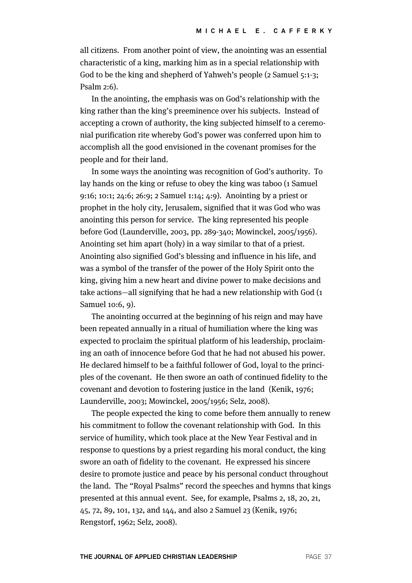all citizens. From another point of view, the anointing was an essential characteristic of a king, marking him as in a special relationship with God to be the king and shepherd of Yahweh's people (2 Samuel 5:1-3; Psalm 2:6).

In the anointing, the emphasis was on God's relationship with the king rather than the king's preeminence over his subjects. Instead of accepting a crown of authority, the king subjected himself to a ceremonial purification rite whereby God's power was conferred upon him to accomplish all the good envisioned in the covenant promises for the people and for their land.

In some ways the anointing was recognition of God's authority. To lay hands on the king or refuse to obey the king was taboo (1 Samuel 9:16; 10:1; 24:6; 26:9; 2 Samuel 1:14; 4:9). Anointing by a priest or prophet in the holy city, Jerusalem, signified that it was God who was anointing this person for service. The king represented his people before God (Launderville, 2003, pp. 289-340; Mowinckel, 2005/1956). Anointing set him apart (holy) in a way similar to that of a priest. Anointing also signified God's blessing and influence in his life, and was a symbol of the transfer of the power of the Holy Spirit onto the king, giving him a new heart and divine power to make decisions and take actions—all signifying that he had a new relationship with God (1 Samuel 10:6, 9).

The anointing occurred at the beginning of his reign and may have been repeated annually in a ritual of humiliation where the king was expected to proclaim the spiritual platform of his leadership, proclaiming an oath of innocence before God that he had not abused his power. He declared himself to be a faithful follower of God, loyal to the principles of the covenant. He then swore an oath of continued fidelity to the covenant and devotion to fostering justice in the land (Kenik, 1976; Launderville, 2003; Mowinckel, 2005/1956; Selz, 2008).

The people expected the king to come before them annually to renew his commitment to follow the covenant relationship with God. In this service of humility, which took place at the New Year Festival and in response to questions by a priest regarding his moral conduct, the king swore an oath of fidelity to the covenant. He expressed his sincere desire to promote justice and peace by his personal conduct throughout the land. The "Royal Psalms" record the speeches and hymns that kings presented at this annual event. See, for example, Psalms 2, 18, 20, 21, 45, 72, 89, 101, 132, and 144, and also 2 Samuel 23 (Kenik, 1976; Rengstorf, 1962; Selz, 2008).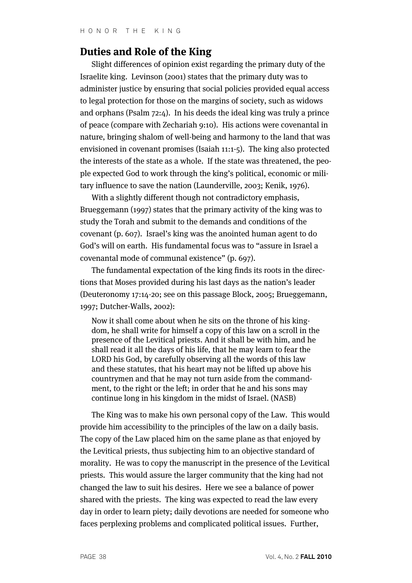# **Duties and Role of the King**

Slight differences of opinion exist regarding the primary duty of the Israelite king. Levinson (2001) states that the primary duty was to administer justice by ensuring that social policies provided equal access to legal protection for those on the margins of society, such as widows and orphans (Psalm 72:4). In his deeds the ideal king was truly a prince of peace (compare with Zechariah 9:10). His actions were covenantal in nature, bringing shalom of well-being and harmony to the land that was envisioned in covenant promises (Isaiah 11:1-5). The king also protected the interests of the state as a whole. If the state was threatened, the people expected God to work through the king's political, economic or military influence to save the nation (Launderville, 2003; Kenik, 1976).

With a slightly different though not contradictory emphasis, Brueggemann (1997) states that the primary activity of the king was to study the Torah and submit to the demands and conditions of the covenant (p. 607). Israel's king was the anointed human agent to do God's will on earth. His fundamental focus was to "assure in Israel a covenantal mode of communal existence" (p. 697).

The fundamental expectation of the king finds its roots in the directions that Moses provided during his last days as the nation's leader (Deuteronomy 17:14-20; see on this passage Block, 2005; Brueggemann, 1997; Dutcher-Walls, 2002):

Now it shall come about when he sits on the throne of his kingdom, he shall write for himself a copy of this law on a scroll in the presence of the Levitical priests. And it shall be with him, and he shall read it all the days of his life, that he may learn to fear the LORD his God, by carefully observing all the words of this law and these statutes, that his heart may not be lifted up above his countrymen and that he may not turn aside from the commandment, to the right or the left; in order that he and his sons may continue long in his kingdom in the midst of Israel. (NASB)

The King was to make his own personal copy of the Law. This would provide him accessibility to the principles of the law on a daily basis. The copy of the Law placed him on the same plane as that enjoyed by the Levitical priests, thus subjecting him to an objective standard of morality. He was to copy the manuscript in the presence of the Levitical priests. This would assure the larger community that the king had not changed the law to suit his desires. Here we see a balance of power shared with the priests. The king was expected to read the law every day in order to learn piety; daily devotions are needed for someone who faces perplexing problems and complicated political issues. Further,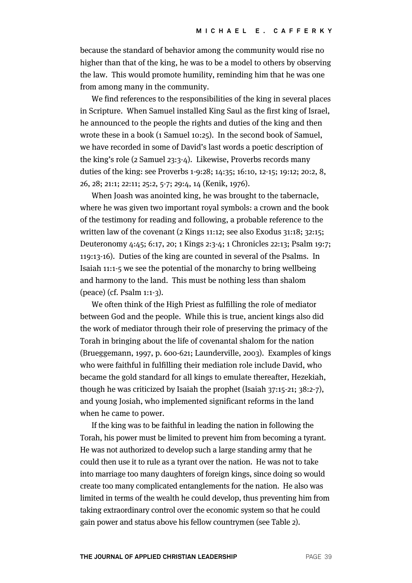because the standard of behavior among the community would rise no higher than that of the king, he was to be a model to others by observing the law. This would promote humility, reminding him that he was one from among many in the community.

We find references to the responsibilities of the king in several places in Scripture. When Samuel installed King Saul as the first king of Israel, he announced to the people the rights and duties of the king and then wrote these in a book (1 Samuel 10:25). In the second book of Samuel, we have recorded in some of David's last words a poetic description of the king's role (2 Samuel 23:3-4). Likewise, Proverbs records many duties of the king: see Proverbs 1-9:28; 14:35; 16:10, 12-15; 19:12; 20:2, 8, 26, 28; 21:1; 22:11; 25:2, 5-7; 29:4, 14 (Kenik, 1976).

When Joash was anointed king, he was brought to the tabernacle, where he was given two important royal symbols: a crown and the book of the testimony for reading and following, a probable reference to the written law of the covenant (2 Kings 11:12; see also Exodus 31:18; 32:15; Deuteronomy 4:45; 6:17, 20; 1 Kings 2:3-4; 1 Chronicles 22:13; Psalm 19:7; 119:13-16). Duties of the king are counted in several of the Psalms. In Isaiah 11:1-5 we see the potential of the monarchy to bring wellbeing and harmony to the land. This must be nothing less than shalom (peace) (cf. Psalm 1:1-3).

We often think of the High Priest as fulfilling the role of mediator between God and the people. While this is true, ancient kings also did the work of mediator through their role of preserving the primacy of the Torah in bringing about the life of covenantal shalom for the nation (Brueggemann, 1997, p. 600-621; Launderville, 2003). Examples of kings who were faithful in fulfilling their mediation role include David, who became the gold standard for all kings to emulate thereafter, Hezekiah, though he was criticized by Isaiah the prophet (Isaiah 37:15-21; 38:2-7), and young Josiah, who implemented significant reforms in the land when he came to power.

If the king was to be faithful in leading the nation in following the Torah, his power must be limited to prevent him from becoming a tyrant. He was not authorized to develop such a large standing army that he could then use it to rule as a tyrant over the nation. He was not to take into marriage too many daughters of foreign kings, since doing so would create too many complicated entanglements for the nation. He also was limited in terms of the wealth he could develop, thus preventing him from taking extraordinary control over the economic system so that he could gain power and status above his fellow countrymen (see Table 2).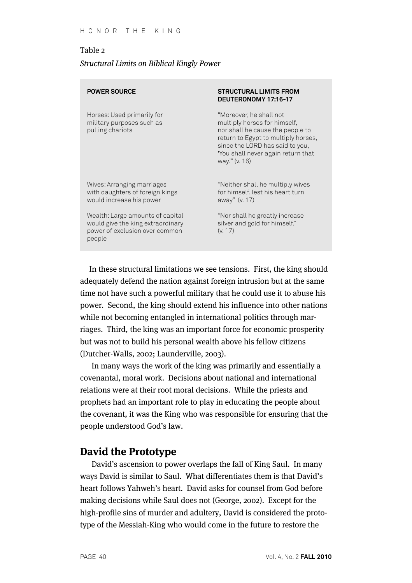#### Table 2

#### Structural Limits on Biblical Kingly Power

| <b>POWER SOURCE</b>                                                                                               | <b>STRUCTURAL LIMITS FROM</b><br>DEUTERONOMY 17:16-17                                                                                                                                                                         |
|-------------------------------------------------------------------------------------------------------------------|-------------------------------------------------------------------------------------------------------------------------------------------------------------------------------------------------------------------------------|
| Horses: Used primarily for<br>military purposes such as<br>pulling chariots                                       | "Moreover, he shall not<br>multiply horses for himself,<br>nor shall he cause the people to<br>return to Egypt to multiply horses,<br>since the LORD has said to you,<br>'You shall never again return that<br>way."" (v. 16) |
| Wives: Arranging marriages<br>with daughters of foreign kings<br>would increase his power                         | "Neither shall he multiply wives<br>for himself, lest his heart turn<br>away" (v. 17)                                                                                                                                         |
| Wealth: Large amounts of capital<br>would give the king extraordinary<br>power of exclusion over common<br>people | "Nor shall he greatly increase<br>silver and gold for himself."<br>(v. 17)                                                                                                                                                    |

In these structural limitations we see tensions. First, the king should adequately defend the nation against foreign intrusion but at the same time not have such a powerful military that he could use it to abuse his power. Second, the king should extend his influence into other nations while not becoming entangled in international politics through marriages. Third, the king was an important force for economic prosperity but was not to build his personal wealth above his fellow citizens (Dutcher-Walls, 2002; Launderville, 2003).

In many ways the work of the king was primarily and essentially a covenantal, moral work. Decisions about national and international relations were at their root moral decisions. While the priests and prophets had an important role to play in educating the people about the covenant, it was the King who was responsible for ensuring that the people understood God's law.

# **David the Prototype**

David's ascension to power overlaps the fall of King Saul. In many ways David is similar to Saul. What differentiates them is that David's heart follows Yahweh's heart. David asks for counsel from God before making decisions while Saul does not (George, 2002). Except for the high-profile sins of murder and adultery, David is considered the prototype of the Messiah-King who would come in the future to restore the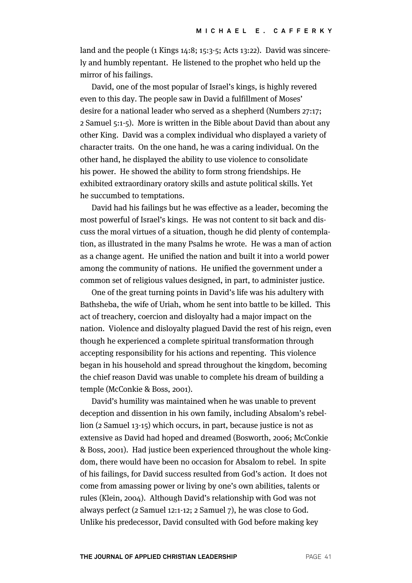land and the people (1 Kings 14:8; 15:3-5; Acts 13:22). David was sincerely and humbly repentant. He listened to the prophet who held up the mirror of his failings.

David, one of the most popular of Israel's kings, is highly revered even to this day. The people saw in David a fulfillment of Moses' desire for a national leader who served as a shepherd (Numbers 27:17; 2 Samuel 5:1-5). More is written in the Bible about David than about any other King. David was a complex individual who displayed a variety of character traits. On the one hand, he was a caring individual. On the other hand, he displayed the ability to use violence to consolidate his power. He showed the ability to form strong friendships. He exhibited extraordinary oratory skills and astute political skills. Yet he succumbed to temptations.

David had his failings but he was effective as a leader, becoming the most powerful of Israel's kings. He was not content to sit back and discuss the moral virtues of a situation, though he did plenty of contemplation, as illustrated in the many Psalms he wrote. He was a man of action as a change agent. He unified the nation and built it into a world power among the community of nations. He unified the government under a common set of religious values designed, in part, to administer justice.

One of the great turning points in David's life was his adultery with Bathsheba, the wife of Uriah, whom he sent into battle to be killed. This act of treachery, coercion and disloyalty had a major impact on the nation. Violence and disloyalty plagued David the rest of his reign, even though he experienced a complete spiritual transformation through accepting responsibility for his actions and repenting. This violence began in his household and spread throughout the kingdom, becoming the chief reason David was unable to complete his dream of building a temple (McConkie & Boss, 2001).

David's humility was maintained when he was unable to prevent deception and dissention in his own family, including Absalom's rebellion (2 Samuel 13-15) which occurs, in part, because justice is not as extensive as David had hoped and dreamed (Bosworth, 2006; McConkie & Boss, 2001). Had justice been experienced throughout the whole kingdom, there would have been no occasion for Absalom to rebel. In spite of his failings, for David success resulted from God's action. It does not come from amassing power or living by one's own abilities, talents or rules (Klein, 2004). Although David's relationship with God was not always perfect (2 Samuel 12:1-12; 2 Samuel 7), he was close to God. Unlike his predecessor, David consulted with God before making key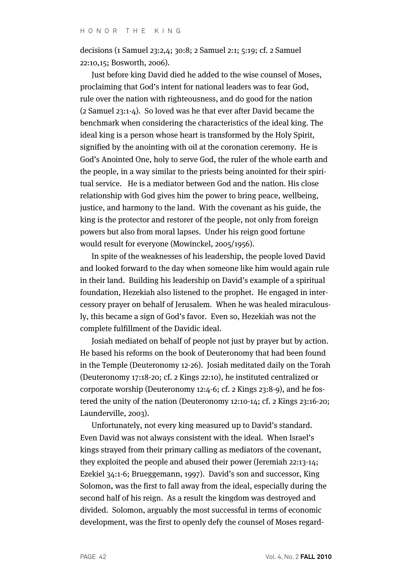decisions (1 Samuel 23:2,4; 30:8; 2 Samuel 2:1; 5:19; cf. 2 Samuel 22:10,15; Bosworth, 2006).

Just before king David died he added to the wise counsel of Moses, proclaiming that God's intent for national leaders was to fear God, rule over the nation with righteousness, and do good for the nation (2 Samuel 23:1-4). So loved was he that ever after David became the benchmark when considering the characteristics of the ideal king. The ideal king is a person whose heart is transformed by the Holy Spirit, signified by the anointing with oil at the coronation ceremony. He is God's Anointed One, holy to serve God, the ruler of the whole earth and the people, in a way similar to the priests being anointed for their spiritual service. He is a mediator between God and the nation. His close relationship with God gives him the power to bring peace, wellbeing, justice, and harmony to the land. With the covenant as his guide, the king is the protector and restorer of the people, not only from foreign powers but also from moral lapses. Under his reign good fortune would result for everyone (Mowinckel, 2005/1956).

In spite of the weaknesses of his leadership, the people loved David and looked forward to the day when someone like him would again rule in their land. Building his leadership on David's example of a spiritual foundation, Hezekiah also listened to the prophet. He engaged in intercessory prayer on behalf of Jerusalem. When he was healed miraculously, this became a sign of God's favor. Even so, Hezekiah was not the complete fulfillment of the Davidic ideal.

Josiah mediated on behalf of people not just by prayer but by action. He based his reforms on the book of Deuteronomy that had been found in the Temple (Deuteronomy 12-26). Josiah meditated daily on the Torah (Deuteronomy 17:18-20; cf. 2 Kings 22:10), he instituted centralized or corporate worship (Deuteronomy 12:4-6; cf. 2 Kings 23:8-9), and he fostered the unity of the nation (Deuteronomy 12:10-14; cf. 2 Kings 23:16-20; Launderville, 2003).

Unfortunately, not every king measured up to David's standard. Even David was not always consistent with the ideal. When Israel's kings strayed from their primary calling as mediators of the covenant, they exploited the people and abused their power (Jeremiah 22:13-14; Ezekiel 34:1-6; Brueggemann, 1997). David's son and successor, King Solomon, was the first to fall away from the ideal, especially during the second half of his reign. As a result the kingdom was destroyed and divided. Solomon, arguably the most successful in terms of economic development, was the first to openly defy the counsel of Moses regard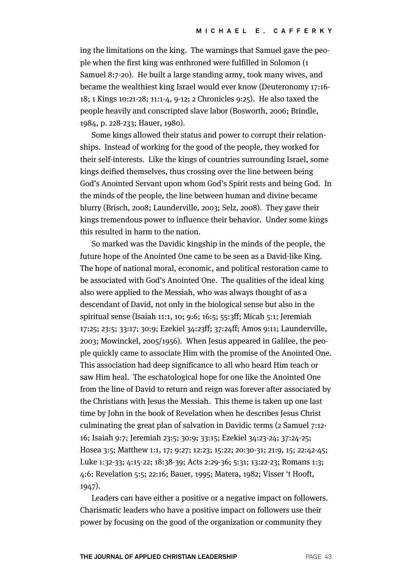ing the limitations on the king. The warnings that Samuel gave the people when the first king was enthroned were fulfilled in Solomon (1 Samuel 8:7-20). He built a large standing army, took many wives, and became the wealthiest king Israel would ever know (Deuteronomy 17:16- 18; 1 Kings 10:21-28; 11:1-4, 9-12; 2 Chronicles 9:25). He also taxed the people heavily and conscripted slave labor (Bosworth, 2006; Brindle, 1984, p. 228-233; Hauer, 1980).

Some kings allowed their status and power to corrupt their relationships. Instead of working for the good of the people, they worked for their self-interests. Like the kings of countries surrounding Israel, some kings deified themselves, thus crossing over the line between being God's Anointed Servant upon whom God's Spirit rests and being God. In the minds of the people, the line between human and divine became blurry (Brisch, 2008; Launderville, 2003; Selz, 2008). They gave their kings tremendous power to influence their behavior. Under some kings this resulted in harm to the nation.

So marked was the Davidic kingship in the minds of the people, the future hope of the Anointed One came to be seen as a David-like King. The hope of national moral, economic, and political restoration came to be associated with God's Anointed One. The qualities of the ideal king also were applied to the Messiah, who was always thought of as a descendant of David, not only in the biological sense but also in the spiritual sense (Isaiah 11:1, 10; 9:6; 16:5; 55:3ff; Micah 5:1; Jeremiah 17:25; 23:5; 33:17; 30:9; Ezekiel 34:23ff; 37:24ff; Amos 9:11; Launderville, 2003; Mowinckel, 2005/1956). When Jesus appeared in Galilee, the people quickly came to associate Him with the promise of the Anointed One. This association had deep significance to all who heard Him teach or saw Him heal. The eschatological hope for one like the Anointed One from the line of David to return and reign was forever after associated by the Christians with Jesus the Messiah. This theme is taken up one last time by John in the book of Revelation when he describes Jesus Christ culminating the great plan of salvation in Davidic terms (2 Samuel 7:12- 16; Isaiah 9:7; Jeremiah 23:5; 30:9; 33:15; Ezekiel 34:23-24; 37:24-25; Hosea 3:5; Matthew 1:1, 17; 9:27; 12:23; 15:22; 20:30-31; 21:9, 15; 22:42-45; Luke 1:32-33; 4:15-22; 18:38-39; Acts 2:29-36; 5:31; 13:22-23; Romans 1:3; 4:6; Revelation 5:5; 22:16; Bauer, 1995; Matera, 1982; Visser 't Hooft, 1947).

Leaders can have either a positive or a negative impact on followers. Charismatic leaders who have a positive impact on followers use their power by focusing on the good of the organization or community they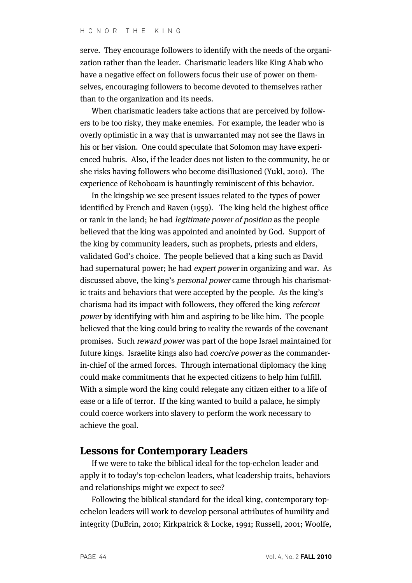serve. They encourage followers to identify with the needs of the organization rather than the leader. Charismatic leaders like King Ahab who have a negative effect on followers focus their use of power on themselves, encouraging followers to become devoted to themselves rather than to the organization and its needs.

When charismatic leaders take actions that are perceived by followers to be too risky, they make enemies. For example, the leader who is overly optimistic in a way that is unwarranted may not see the flaws in his or her vision. One could speculate that Solomon may have experienced hubris. Also, if the leader does not listen to the community, he or she risks having followers who become disillusioned (Yukl, 2010). The experience of Rehoboam is hauntingly reminiscent of this behavior.

In the kingship we see present issues related to the types of power identified by French and Raven (1959). The king held the highest office or rank in the land; he had legitimate power of position as the people believed that the king was appointed and anointed by God. Support of the king by community leaders, such as prophets, priests and elders, validated God's choice. The people believed that a king such as David had supernatural power; he had expert power in organizing and war. As discussed above, the king's personal power came through his charismatic traits and behaviors that were accepted by the people. As the king's charisma had its impact with followers, they offered the king referent power by identifying with him and aspiring to be like him. The people believed that the king could bring to reality the rewards of the covenant promises. Such reward power was part of the hope Israel maintained for future kings. Israelite kings also had coercive power as the commanderin-chief of the armed forces. Through international diplomacy the king could make commitments that he expected citizens to help him fulfill. With a simple word the king could relegate any citizen either to a life of ease or a life of terror. If the king wanted to build a palace, he simply could coerce workers into slavery to perform the work necessary to achieve the goal.

# **Lessons for Contemporary Leaders**

If we were to take the biblical ideal for the top-echelon leader and apply it to today's top-echelon leaders, what leadership traits, behaviors and relationships might we expect to see?

Following the biblical standard for the ideal king, contemporary topechelon leaders will work to develop personal attributes of humility and integrity (DuBrin, 2010; Kirkpatrick & Locke, 1991; Russell, 2001; Woolfe,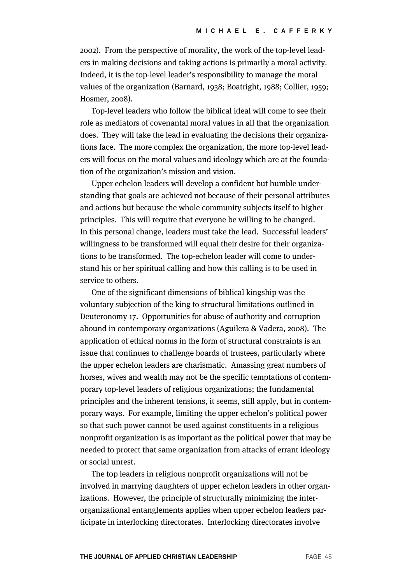2002). From the perspective of morality, the work of the top-level leaders in making decisions and taking actions is primarily a moral activity. Indeed, it is the top-level leader's responsibility to manage the moral values of the organization (Barnard, 1938; Boatright, 1988; Collier, 1959; Hosmer, 2008).

Top-level leaders who follow the biblical ideal will come to see their role as mediators of covenantal moral values in all that the organization does. They will take the lead in evaluating the decisions their organizations face. The more complex the organization, the more top-level leaders will focus on the moral values and ideology which are at the foundation of the organization's mission and vision.

Upper echelon leaders will develop a confident but humble understanding that goals are achieved not because of their personal attributes and actions but because the whole community subjects itself to higher principles. This will require that everyone be willing to be changed. In this personal change, leaders must take the lead. Successful leaders' willingness to be transformed will equal their desire for their organizations to be transformed. The top-echelon leader will come to understand his or her spiritual calling and how this calling is to be used in service to others.

One of the significant dimensions of biblical kingship was the voluntary subjection of the king to structural limitations outlined in Deuteronomy 17. Opportunities for abuse of authority and corruption abound in contemporary organizations (Aguilera & Vadera, 2008). The application of ethical norms in the form of structural constraints is an issue that continues to challenge boards of trustees, particularly where the upper echelon leaders are charismatic. Amassing great numbers of horses, wives and wealth may not be the specific temptations of contemporary top-level leaders of religious organizations; the fundamental principles and the inherent tensions, it seems, still apply, but in contemporary ways. For example, limiting the upper echelon's political power so that such power cannot be used against constituents in a religious nonprofit organization is as important as the political power that may be needed to protect that same organization from attacks of errant ideology or social unrest.

The top leaders in religious nonprofit organizations will not be involved in marrying daughters of upper echelon leaders in other organizations. However, the principle of structurally minimizing the interorganizational entanglements applies when upper echelon leaders participate in interlocking directorates. Interlocking directorates involve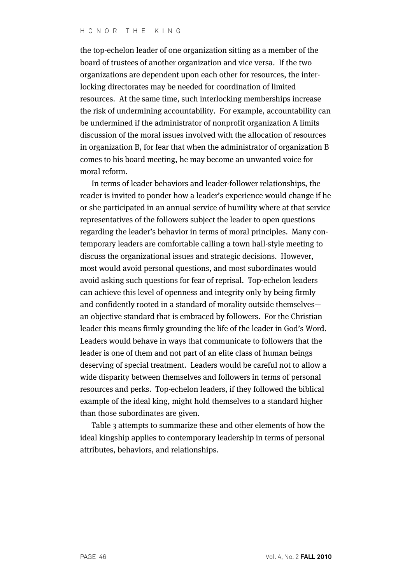the top-echelon leader of one organization sitting as a member of the board of trustees of another organization and vice versa. If the two organizations are dependent upon each other for resources, the interlocking directorates may be needed for coordination of limited resources. At the same time, such interlocking memberships increase the risk of undermining accountability. For example, accountability can be undermined if the administrator of nonprofit organization A limits discussion of the moral issues involved with the allocation of resources in organization B, for fear that when the administrator of organization B comes to his board meeting, he may become an unwanted voice for moral reform.

In terms of leader behaviors and leader-follower relationships, the reader is invited to ponder how a leader's experience would change if he or she participated in an annual service of humility where at that service representatives of the followers subject the leader to open questions regarding the leader's behavior in terms of moral principles. Many contemporary leaders are comfortable calling a town hall-style meeting to discuss the organizational issues and strategic decisions. However, most would avoid personal questions, and most subordinates would avoid asking such questions for fear of reprisal. Top-echelon leaders can achieve this level of openness and integrity only by being firmly and confidently rooted in a standard of morality outside themselves an objective standard that is embraced by followers. For the Christian leader this means firmly grounding the life of the leader in God's Word. Leaders would behave in ways that communicate to followers that the leader is one of them and not part of an elite class of human beings deserving of special treatment. Leaders would be careful not to allow a wide disparity between themselves and followers in terms of personal resources and perks. Top-echelon leaders, if they followed the biblical example of the ideal king, might hold themselves to a standard higher than those subordinates are given.

Table 3 attempts to summarize these and other elements of how the ideal kingship applies to contemporary leadership in terms of personal attributes, behaviors, and relationships.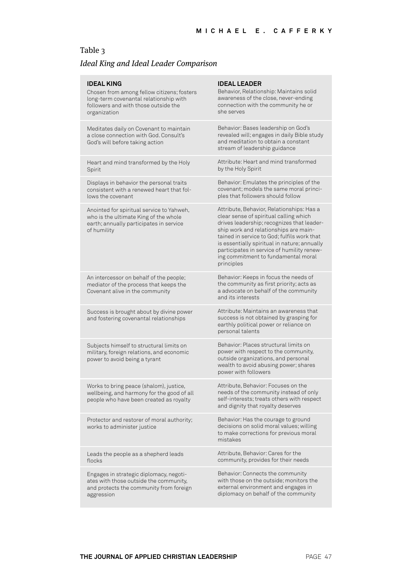# Table 3

# Ideal King and Ideal Leader Comparison

| <b>IDEAL KING</b><br>Chosen from among fellow citizens; fosters<br>long-term covenantal relationship with<br>followers and with those outside the<br>organization | <b>IDEAL LEADER</b><br>Behavior, Relationship: Maintains solid<br>awareness of the close, never-ending<br>connection with the community he or<br>she serves                                                                                                                                                                                                                  |
|-------------------------------------------------------------------------------------------------------------------------------------------------------------------|------------------------------------------------------------------------------------------------------------------------------------------------------------------------------------------------------------------------------------------------------------------------------------------------------------------------------------------------------------------------------|
| Meditates daily on Covenant to maintain<br>a close connection with God, Consult's<br>God's will before taking action                                              | Behavior: Bases leadership on God's<br>revealed will; engages in daily Bible study<br>and meditation to obtain a constant<br>stream of leadership guidance                                                                                                                                                                                                                   |
| Heart and mind transformed by the Holy<br>Spirit                                                                                                                  | Attribute: Heart and mind transformed<br>by the Holy Spirit                                                                                                                                                                                                                                                                                                                  |
| Displays in behavior the personal traits<br>consistent with a renewed heart that fol-<br>lows the covenant                                                        | Behavior: Emulates the principles of the<br>covenant; models the same moral princi-<br>ples that followers should follow                                                                                                                                                                                                                                                     |
| Anointed for spiritual service to Yahweh,<br>who is the ultimate King of the whole<br>earth; annually participates in service<br>of humility                      | Attribute, Behavior, Relationships: Has a<br>clear sense of spiritual calling which<br>drives leadership; recognizes that leader-<br>ship work and relationships are main-<br>tained in service to God; fulfils work that<br>is essentially spiritual in nature; annually<br>participates in service of humility renew-<br>ing commitment to fundamental moral<br>principles |
| An intercessor on behalf of the people;<br>mediator of the process that keeps the<br>Covenant alive in the community                                              | Behavior: Keeps in focus the needs of<br>the community as first priority; acts as<br>a advocate on behalf of the community<br>and its interests                                                                                                                                                                                                                              |
| Success is brought about by divine power<br>and fostering covenantal relationships                                                                                | Attribute: Maintains an awareness that<br>success is not obtained by grasping for<br>earthly political power or reliance on<br>personal talents                                                                                                                                                                                                                              |
| Subjects himself to structural limits on<br>military, foreign relations, and economic<br>power to avoid being a tyrant                                            | Behavior: Places structural limits on<br>power with respect to the community,<br>outside organizations, and personal<br>wealth to avoid abusing power; shares<br>power with followers                                                                                                                                                                                        |
| Works to bring peace (shalom), justice,<br>wellbeing, and harmony for the good of all<br>people who have been created as royalty                                  | Attribute, Behavior: Focuses on the<br>needs of the community instead of only<br>self-interests; treats others with respect<br>and dignity that royalty deserves                                                                                                                                                                                                             |
| Protector and restorer of moral authority;<br>works to administer justice                                                                                         | Behavior: Has the courage to ground<br>decisions on solid moral values; willing<br>to make corrections for previous moral<br>mistakes                                                                                                                                                                                                                                        |
| Leads the people as a shepherd leads<br>flocks                                                                                                                    | Attribute, Behavior: Cares for the<br>community, provides for their needs                                                                                                                                                                                                                                                                                                    |
| Engages in strategic diplomacy, negoti-<br>ates with those outside the community,<br>and protects the community from foreign<br>aggression                        | Behavior: Connects the community<br>with those on the outside: monitors the<br>external environment and engages in<br>diplomacy on behalf of the community                                                                                                                                                                                                                   |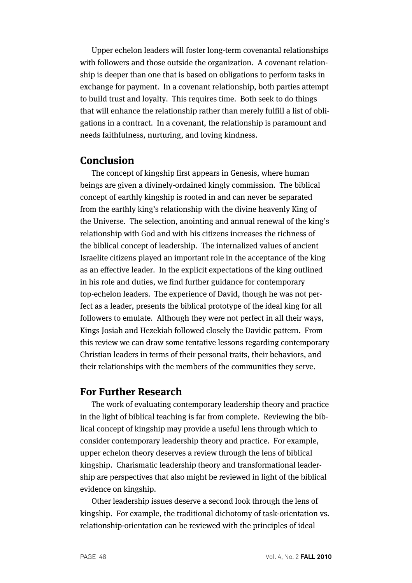Upper echelon leaders will foster long-term covenantal relationships with followers and those outside the organization. A covenant relationship is deeper than one that is based on obligations to perform tasks in exchange for payment. In a covenant relationship, both parties attempt to build trust and loyalty. This requires time. Both seek to do things that will enhance the relationship rather than merely fulfill a list of obligations in a contract. In a covenant, the relationship is paramount and needs faithfulness, nurturing, and loving kindness.

# **Conclusion**

The concept of kingship first appears in Genesis, where human beings are given a divinely-ordained kingly commission. The biblical concept of earthly kingship is rooted in and can never be separated from the earthly king's relationship with the divine heavenly King of the Universe. The selection, anointing and annual renewal of the king's relationship with God and with his citizens increases the richness of the biblical concept of leadership. The internalized values of ancient Israelite citizens played an important role in the acceptance of the king as an effective leader. In the explicit expectations of the king outlined in his role and duties, we find further guidance for contemporary top-echelon leaders. The experience of David, though he was not perfect as a leader, presents the biblical prototype of the ideal king for all followers to emulate. Although they were not perfect in all their ways, Kings Josiah and Hezekiah followed closely the Davidic pattern. From this review we can draw some tentative lessons regarding contemporary Christian leaders in terms of their personal traits, their behaviors, and their relationships with the members of the communities they serve.

## **For Further Research**

The work of evaluating contemporary leadership theory and practice in the light of biblical teaching is far from complete. Reviewing the biblical concept of kingship may provide a useful lens through which to consider contemporary leadership theory and practice. For example, upper echelon theory deserves a review through the lens of biblical kingship. Charismatic leadership theory and transformational leadership are perspectives that also might be reviewed in light of the biblical evidence on kingship.

Other leadership issues deserve a second look through the lens of kingship. For example, the traditional dichotomy of task-orientation vs. relationship-orientation can be reviewed with the principles of ideal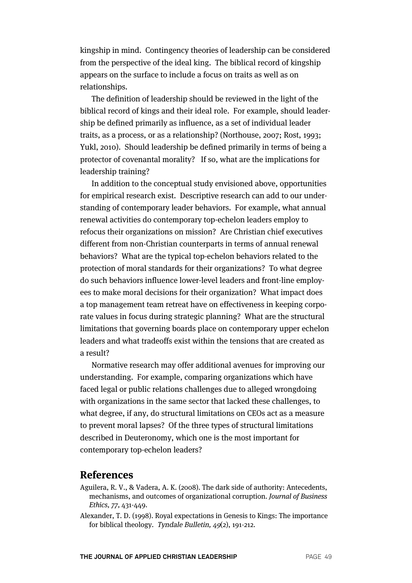kingship in mind. Contingency theories of leadership can be considered from the perspective of the ideal king. The biblical record of kingship appears on the surface to include a focus on traits as well as on relationships.

The definition of leadership should be reviewed in the light of the biblical record of kings and their ideal role. For example, should leadership be defined primarily as influence, as a set of individual leader traits, as a process, or as a relationship? (Northouse, 2007; Rost, 1993; Yukl, 2010). Should leadership be defined primarily in terms of being a protector of covenantal morality? If so, what are the implications for leadership training?

In addition to the conceptual study envisioned above, opportunities for empirical research exist. Descriptive research can add to our understanding of contemporary leader behaviors. For example, what annual renewal activities do contemporary top-echelon leaders employ to refocus their organizations on mission? Are Christian chief executives different from non-Christian counterparts in terms of annual renewal behaviors? What are the typical top-echelon behaviors related to the protection of moral standards for their organizations? To what degree do such behaviors influence lower-level leaders and front-line employees to make moral decisions for their organization? What impact does a top management team retreat have on effectiveness in keeping corporate values in focus during strategic planning? What are the structural limitations that governing boards place on contemporary upper echelon leaders and what tradeoffs exist within the tensions that are created as a result?

Normative research may offer additional avenues for improving our understanding. For example, comparing organizations which have faced legal or public relations challenges due to alleged wrongdoing with organizations in the same sector that lacked these challenges, to what degree, if any, do structural limitations on CEOs act as a measure to prevent moral lapses? Of the three types of structural limitations described in Deuteronomy, which one is the most important for contemporary top-echelon leaders?

#### **References**

- Aguilera, R. V., & Vadera, A. K. (2008). The dark side of authority: Antecedents, mechanisms, and outcomes of organizational corruption. Journal of Business Ethics, 77, 431-449.
- Alexander, T. D. (1998). Royal expectations in Genesis to Kings: The importance for biblical theology. Tyndale Bulletin, 49(2), 191-212.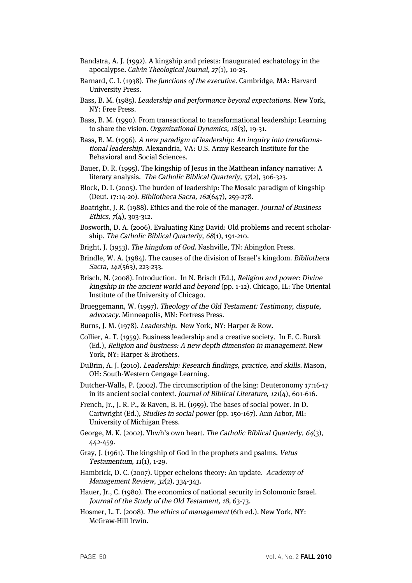- Bandstra, A. J. (1992). A kingship and priests: Inaugurated eschatology in the apocalypse. Calvin Theological Journal, 27(1), 10-25.
- Barnard, C. I. (1938). The functions of the executive. Cambridge, MA: Harvard University Press.
- Bass, B. M. (1985). Leadership and performance beyond expectations. New York, NY: Free Press.
- Bass, B. M. (1990). From transactional to transformational leadership: Learning to share the vision. Organizational Dynamics, 18(3), 19-31.
- Bass, B. M. (1996). A new paradigm of leadership: An inquiry into transformational leadership. Alexandria, VA: U.S. Army Research Institute for the Behavioral and Social Sciences.
- Bauer, D. R. (1995). The kingship of Jesus in the Matthean infancy narrative: A literary analysis. The Catholic Biblical Quarterly, 57(2), 306-323.
- Block, D. I. (2005). The burden of leadership: The Mosaic paradigm of kingship (Deut. 17:14-20). Bibliotheca Sacra, 162(647), 259-278.
- Boatright, J. R. (1988). Ethics and the role of the manager. Journal of Business Ethics,  $7(4)$ , 303-312.
- Bosworth, D. A. (2006). Evaluating King David: Old problems and recent scholarship. The Catholic Biblical Quarterly, 68(1), 191-210.
- Bright, J. (1953). The kingdom of God. Nashville, TN: Abingdon Press.
- Brindle, W. A. (1984). The causes of the division of Israel's kingdom. Bibliotheca Sacra, 141(563), 223-233.
- Brisch, N. (2008). Introduction. In N. Brisch (Ed.), Religion and power: Divine kingship in the ancient world and beyond (pp. 1-12). Chicago, IL: The Oriental Institute of the University of Chicago.
- Brueggemann, W. (1997). Theology of the Old Testament: Testimony, dispute, advocacy. Minneapolis, MN: Fortress Press.
- Burns, J. M. (1978). Leadership. New York, NY: Harper & Row.

Collier, A. T. (1959). Business leadership and a creative society. In E. C. Bursk (Ed.), Religion and business: A new depth dimension in management. New York, NY: Harper & Brothers.

- DuBrin, A. J. (2010). Leadership: Research findings, practice, and skills. Mason, OH: South-Western Cengage Learning.
- Dutcher-Walls, P. (2002). The circumscription of the king: Deuteronomy 17:16-17 in its ancient social context. Journal of Biblical Literature, 121(4), 601-616.
- French, Jr., J. R. P., & Raven, B. H. (1959). The bases of social power. In D. Cartwright (Ed.), Studies in social power (pp. 150-167). Ann Arbor, MI: University of Michigan Press.
- George, M. K. (2002). Yhwh's own heart. The Catholic Biblical Quarterly,  $64(3)$ , 442-459.
- Gray, J. (1961). The kingship of God in the prophets and psalms. Vetus Testamentum, 11(1), 1-29.
- Hambrick, D. C. (2007). Upper echelons theory: An update. Academy of Management Review, 32(2), 334-343.
- Hauer, Jr., C. (1980). The economics of national security in Solomonic Israel. Journal of the Study of the Old Testament, 18, 63-73.
- Hosmer, L. T. (2008). The ethics of management (6th ed.). New York, NY: McGraw-Hill Irwin.